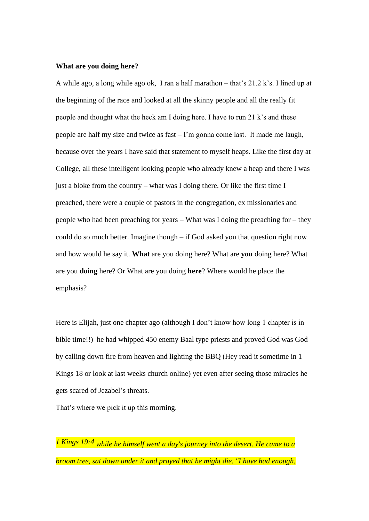## **What are you doing here?**

A while ago, a long while ago ok, I ran a half marathon – that's  $21.2$  k's. I lined up at the beginning of the race and looked at all the skinny people and all the really fit people and thought what the heck am I doing here. I have to run 21 k's and these people are half my size and twice as fast – I'm gonna come last. It made me laugh, because over the years I have said that statement to myself heaps. Like the first day at College, all these intelligent looking people who already knew a heap and there I was just a bloke from the country – what was I doing there. Or like the first time I preached, there were a couple of pastors in the congregation, ex missionaries and people who had been preaching for years – What was I doing the preaching for – they could do so much better. Imagine though – if God asked you that question right now and how would he say it. **What** are you doing here? What are **you** doing here? What are you **doing** here? Or What are you doing **here**? Where would he place the emphasis?

Here is Elijah, just one chapter ago (although I don't know how long 1 chapter is in bible time!!) he had whipped 450 enemy Baal type priests and proved God was God by calling down fire from heaven and lighting the BBQ (Hey read it sometime in 1 Kings 18 or look at last weeks church online) yet even after seeing those miracles he gets scared of Jezabel's threats.

That's where we pick it up this morning.

*1 Kings 19:4 while he himself went a day's journey into the desert. He came to a broom tree, sat down under it and prayed that he might die. "I have had enough,*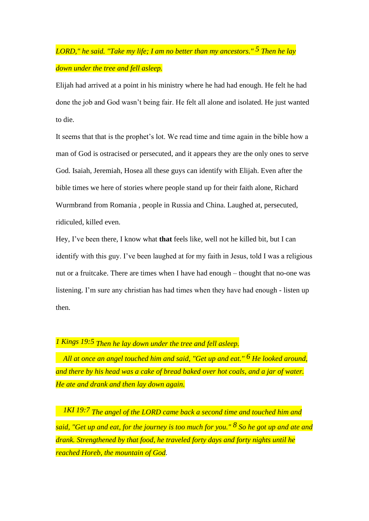## *LORD," he said. "Take my life; I am no better than my ancestors." 5 Then he lay down under the tree and fell asleep.*

Elijah had arrived at a point in his ministry where he had had enough. He felt he had done the job and God wasn't being fair. He felt all alone and isolated. He just wanted to die.

It seems that that is the prophet's lot. We read time and time again in the bible how a man of God is ostracised or persecuted, and it appears they are the only ones to serve God. Isaiah, Jeremiah, Hosea all these guys can identify with Elijah. Even after the bible times we here of stories where people stand up for their faith alone, Richard Wurmbrand from Romania , people in Russia and China. Laughed at, persecuted, ridiculed, killed even.

Hey, I've been there, I know what **that** feels like, well not he killed bit, but I can identify with this guy. I've been laughed at for my faith in Jesus, told I was a religious nut or a fruitcake. There are times when I have had enough – thought that no-one was listening. I'm sure any christian has had times when they have had enough - listen up then.

*1 Kings 19:5 Then he lay down under the tree and fell asleep.*

 *All at once an angel touched him and said, "Get up and eat." 6 He looked around, and there by his head was a cake of bread baked over hot coals, and a jar of water. He ate and drank and then lay down again.*

*1KI 19:7 The angel of the LORD came back a second time and touched him and said, "Get up and eat, for the journey is too much for you." 8 So he got up and ate and drank. Strengthened by that food, he traveled forty days and forty nights until he reached Horeb, the mountain of God.*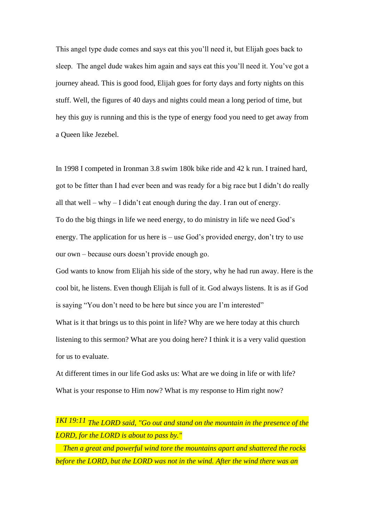This angel type dude comes and says eat this you'll need it, but Elijah goes back to sleep. The angel dude wakes him again and says eat this you'll need it. You've got a journey ahead. This is good food, Elijah goes for forty days and forty nights on this stuff. Well, the figures of 40 days and nights could mean a long period of time, but hey this guy is running and this is the type of energy food you need to get away from a Queen like Jezebel.

In 1998 I competed in Ironman 3.8 swim 180k bike ride and 42 k run. I trained hard, got to be fitter than I had ever been and was ready for a big race but I didn't do really all that well – why – I didn't eat enough during the day. I ran out of energy. To do the big things in life we need energy, to do ministry in life we need God's energy. The application for us here is – use God's provided energy, don't try to use our own – because ours doesn't provide enough go.

God wants to know from Elijah his side of the story, why he had run away. Here is the cool bit, he listens. Even though Elijah is full of it. God always listens. It is as if God is saying "You don't need to be here but since you are I'm interested"

What is it that brings us to this point in life? Why are we here today at this church listening to this sermon? What are you doing here? I think it is a very valid question for us to evaluate.

At different times in our life God asks us: What are we doing in life or with life? What is your response to Him now? What is my response to Him right now?

*1KI 19:11 The LORD said, "Go out and stand on the mountain in the presence of the LORD, for the LORD is about to pass by."*

 *Then a great and powerful wind tore the mountains apart and shattered the rocks before the LORD, but the LORD was not in the wind. After the wind there was an*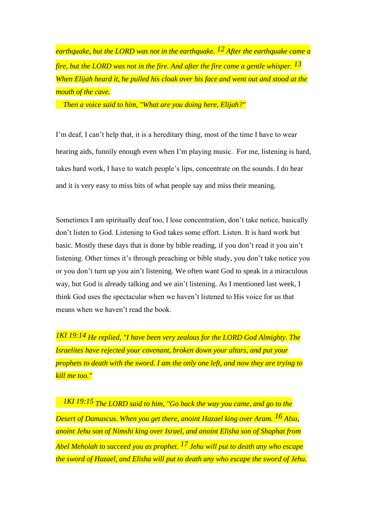*earthquake, but the LORD was not in the earthquake. 12 After the earthquake came a fire, but the LORD was not in the fire. And after the fire came a gentle whisper. 13 When Elijah heard it, he pulled his cloak over his face and went out and stood at the mouth of the cave.*

 *Then a voice said to him, "What are you doing here, Elijah?"*

I'm deaf, I can't help that, it is a hereditary thing, most of the time I have to wear hearing aids, funnily enough even when I'm playing music. For me, listening is hard, takes hard work, I have to watch people's lips, concentrate on the sounds. I do hear and it is very easy to miss bits of what people say and miss their meaning.

Sometimes I am spiritually deaf too, I lose concentration, don't take notice, basically don't listen to God. Listening to God takes some effort. Listen. It is hard work but basic. Mostly these days that is done by bible reading, if you don't read it you ain't listening. Other times it's through preaching or bible study, you don't take notice you or you don't turn up you ain't listening. We often want God to speak in a miraculous way, but God is already talking and we ain't listening. As I mentioned last week, I think God uses the spectacular when we haven't listened to His voice for us that means when we haven't read the book.

*1KI 19:14 He replied, "I have been very zealous for the LORD God Almighty. The Israelites have rejected your covenant, broken down your altars, and put your prophets to death with the sword. I am the only one left, and now they are trying to kill me too."*

*1KI 19:15 The LORD said to him, "Go back the way you came, and go to the Desert of Damascus. When you get there, anoint Hazael king over Aram. 16 Also, anoint Jehu son of Nimshi king over Israel, and anoint Elisha son of Shaphat from Abel Meholah to succeed you as prophet. 17 Jehu will put to death any who escape the sword of Hazael, and Elisha will put to death any who escape the sword of Jehu.*